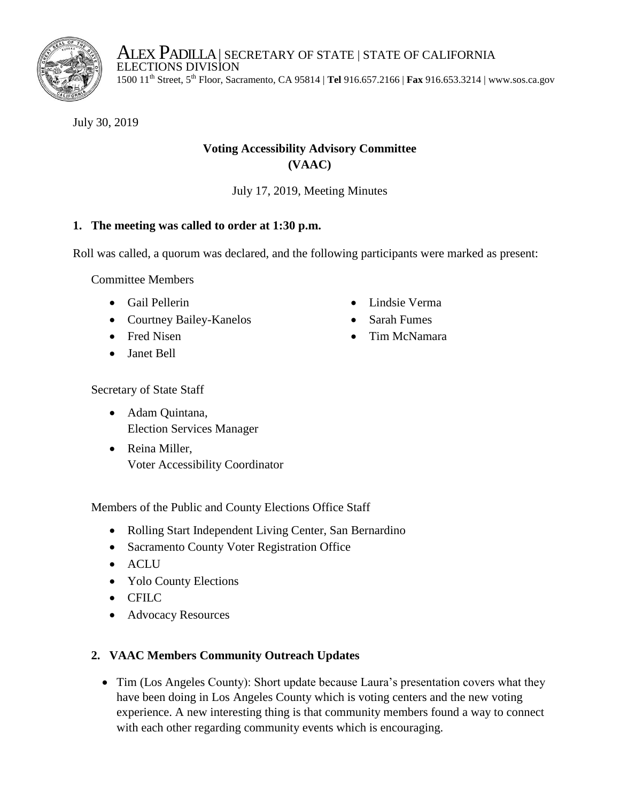

ALEX PADILLA | SECRETARY OF STATE | STATE OF CALIFORNIA ELECTIONS DIVISION 1500 11th Street, 5th Floor, Sacramento, CA 95814 | **Tel** 916.657.2166 | **Fax** 916.653.3214 | www.sos.ca.gov

July 30, 2019

# **Voting Accessibility Advisory Committee (VAAC)**

July 17, 2019, Meeting Minutes

# **1. The meeting was called to order at 1:30 p.m.**

Roll was called, a quorum was declared, and the following participants were marked as present:

Committee Members

- Gail Pellerin
- Courtney Bailey-Kanelos
- Fred Nisen
- Janet Bell
- Lindsie Verma
- Sarah Fumes
- Tim McNamara

Secretary of State Staff

- Adam Quintana, Election Services Manager
- Reina Miller, Voter Accessibility Coordinator

Members of the Public and County Elections Office Staff

- Rolling Start Independent Living Center, San Bernardino
- Sacramento County Voter Registration Office
- ACLU
- Yolo County Elections
- CFILC
- Advocacy Resources

# **2. VAAC Members Community Outreach Updates**

• Tim (Los Angeles County): Short update because Laura's presentation covers what they have been doing in Los Angeles County which is voting centers and the new voting experience. A new interesting thing is that community members found a way to connect with each other regarding community events which is encouraging.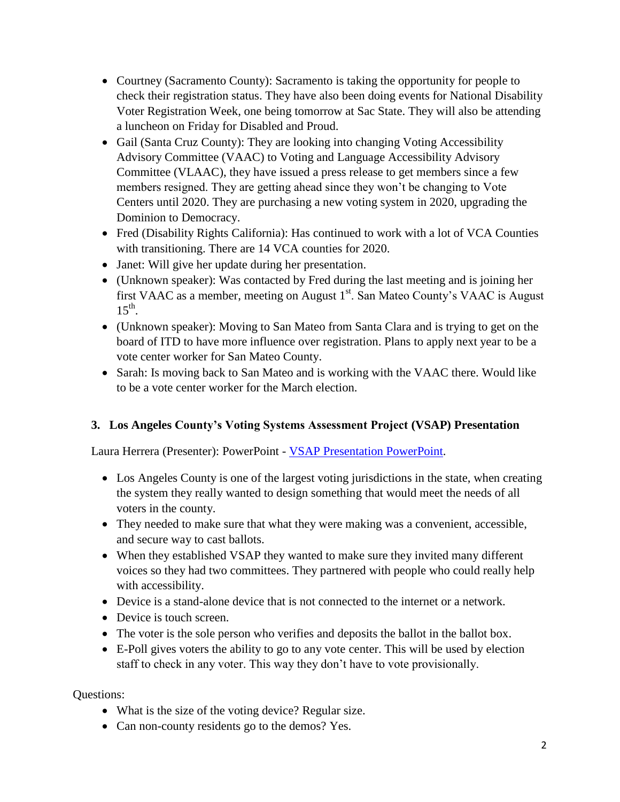- Courtney (Sacramento County): Sacramento is taking the opportunity for people to check their registration status. They have also been doing events for National Disability Voter Registration Week, one being tomorrow at Sac State. They will also be attending a luncheon on Friday for Disabled and Proud.
- Gail (Santa Cruz County): They are looking into changing Voting Accessibility Advisory Committee (VAAC) to Voting and Language Accessibility Advisory Committee (VLAAC), they have issued a press release to get members since a few members resigned. They are getting ahead since they won't be changing to Vote Centers until 2020. They are purchasing a new voting system in 2020, upgrading the Dominion to Democracy.
- Fred (Disability Rights California): Has continued to work with a lot of VCA Counties with transitioning. There are 14 VCA counties for 2020.
- Janet: Will give her update during her presentation.
- (Unknown speaker): Was contacted by Fred during the last meeting and is joining her first VAAC as a member, meeting on August  $1<sup>st</sup>$ . San Mateo County's VAAC is August  $15^{th}$ .
- (Unknown speaker): Moving to San Mateo from Santa Clara and is trying to get on the board of ITD to have more influence over registration. Plans to apply next year to be a vote center worker for San Mateo County.
- Sarah: Is moving back to San Mateo and is working with the VAAC there. Would like to be a vote center worker for the March election.

# **3. Los Angeles County's Voting Systems Assessment Project (VSAP) Presentation**

Laura Herrera (Presenter): PowerPoint - [VSAP Presentation PowerPoint.](file://SOSFPS3/Elections/Projects/VAAC/VAAC%202019/Agenda/7-17-19%20Agenda%20%5bCCROV%5d%20and%20Handouts/VSAP%20Presentation%20for%20CA%20State%20VAAC-%20FINAL%207-17-19%20with%20YouTube%20Links.pdf)

- Los Angeles County is one of the largest voting jurisdictions in the state, when creating the system they really wanted to design something that would meet the needs of all voters in the county.
- They needed to make sure that what they were making was a convenient, accessible, and secure way to cast ballots.
- When they established VSAP they wanted to make sure they invited many different voices so they had two committees. They partnered with people who could really help with accessibility.
- Device is a stand-alone device that is not connected to the internet or a network.
- Device is touch screen.
- The voter is the sole person who verifies and deposits the ballot in the ballot box.
- E-Poll gives voters the ability to go to any vote center. This will be used by election staff to check in any voter. This way they don't have to vote provisionally.

Questions:

- What is the size of the voting device? Regular size.
- Can non-county residents go to the demos? Yes.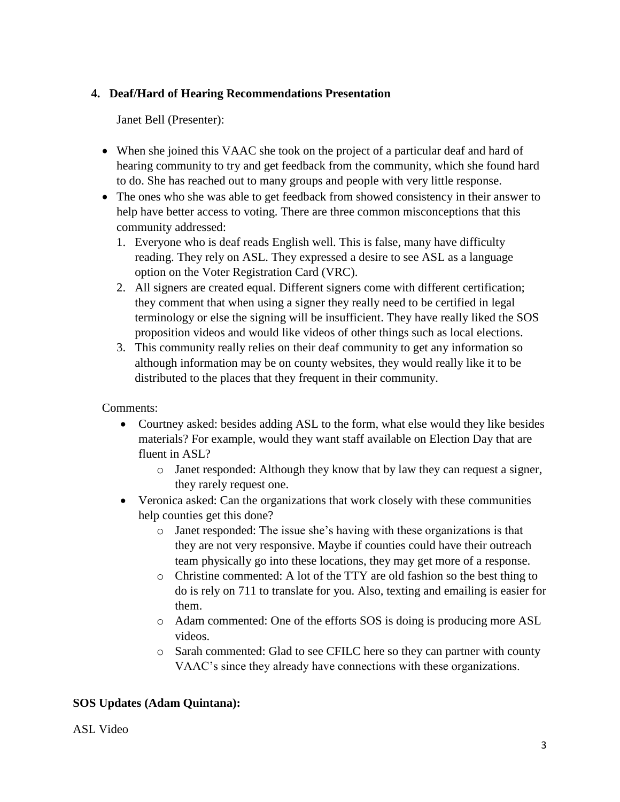### **4. Deaf/Hard of Hearing Recommendations Presentation**

Janet Bell (Presenter):

- When she joined this VAAC she took on the project of a particular deaf and hard of hearing community to try and get feedback from the community, which she found hard to do. She has reached out to many groups and people with very little response.
- The ones who she was able to get feedback from showed consistency in their answer to help have better access to voting. There are three common misconceptions that this community addressed:
	- 1. Everyone who is deaf reads English well. This is false, many have difficulty reading. They rely on ASL. They expressed a desire to see ASL as a language option on the Voter Registration Card (VRC).
	- 2. All signers are created equal. Different signers come with different certification; they comment that when using a signer they really need to be certified in legal terminology or else the signing will be insufficient. They have really liked the SOS proposition videos and would like videos of other things such as local elections.
	- 3. This community really relies on their deaf community to get any information so although information may be on county websites, they would really like it to be distributed to the places that they frequent in their community.

Comments:

- Courtney asked: besides adding ASL to the form, what else would they like besides materials? For example, would they want staff available on Election Day that are fluent in ASL?
	- o Janet responded: Although they know that by law they can request a signer, they rarely request one.
- Veronica asked: Can the organizations that work closely with these communities help counties get this done?
	- o Janet responded: The issue she's having with these organizations is that they are not very responsive. Maybe if counties could have their outreach team physically go into these locations, they may get more of a response.
	- o Christine commented: A lot of the TTY are old fashion so the best thing to do is rely on 711 to translate for you. Also, texting and emailing is easier for them.
	- o Adam commented: One of the efforts SOS is doing is producing more ASL videos.
	- o Sarah commented: Glad to see CFILC here so they can partner with county VAAC's since they already have connections with these organizations.

# **SOS Updates (Adam Quintana):**